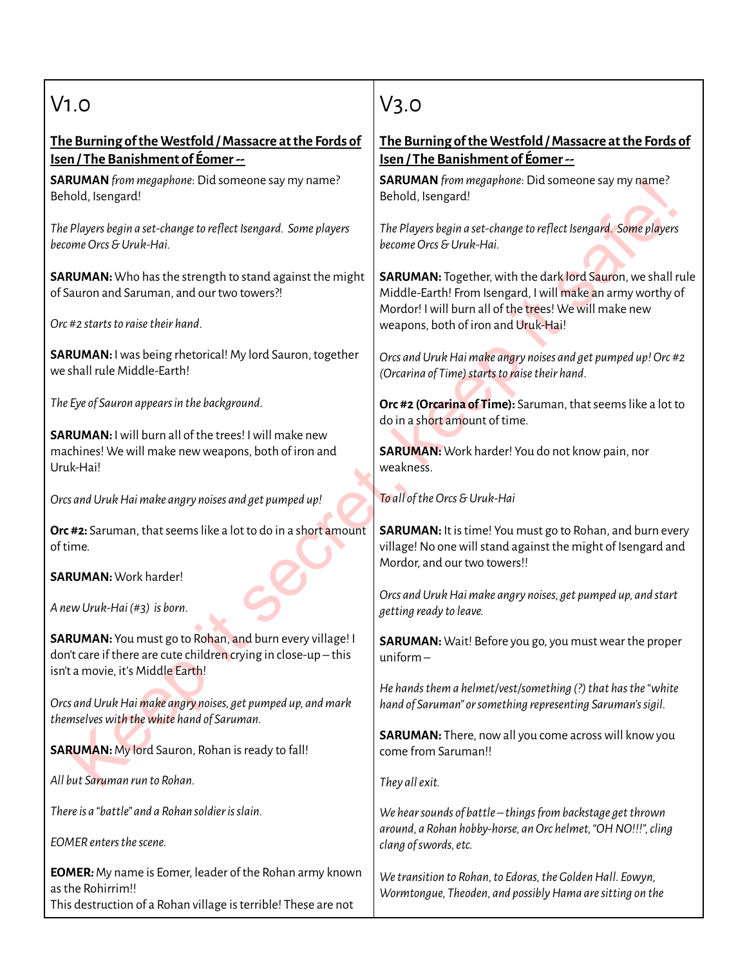## $V1.0$

## **The Burning ofthe Westfold /Massacre atthe Fords of Isen / The Banishment of Éomer--**

**SARUMAN***from megaphone*: Did someone say my name? Behold, Isengard!

*The Players begin a set-changeto reflectIsengard. Some players becomeOrcs&Uruk-Hai.*

**SARUMAN:** Who has the strength to stand against the might of Sauron and Saruman, and our two towers?!

*Orc #2 startsto raisetheir hand*.

**SARUMAN:** Iwas being rhetorical! My lord Sauron, together we shall rule Middle-Earth!

*The Eye of Sauron appearsin the background*.

**SARUMAN:** Iwill burn all of the trees! Iwill make new machines! Wewill make newweapons, both of iron and Uruk-Hai!

*Orcs andUrukHai make angry noises and get pumped up!*

**Orc** #2: Saruman, that seems like a lot to do in a short amount of time.

**SARUMAN:** Work harder!

*A newUruk-Hai (#3) is born.*

Weakne<br>
Sand Uruk Hai make angry noises and get pumped up!<br>
Weakne<br>
Saruman, that seems like a lot to do in a short amount<br>
ime.<br>
WURAN: Work harder!<br>
WURAN: Work harder!<br>
WURAN: Mork harder!<br>
WURAN: Mork Hai make angry no **SARUMAN:** You must go to Rohan, and burn every village! I don't care if there are cute children crying in close-up – this isn't a movie, it's Middle Earth!

*Orcs andUrukHai make angry noises, get pumped up, and mark themselveswith thewhite hand of Saruman.*

**SARUMAN:** My lord Sauron, Rohan is ready to fall!

*All but Saruman run to Rohan.*

*Thereis a "battle" and a Rohan soldierisslain.*

*EOMER entersthescene.*

**EOMER***:*My name is Eomer, leader of the Rohan army known asthe Rohirrim!! This destruction of a Rohan village isterrible! These are not

## V3.0

## **The Burning ofthe Westfold /Massacre atthe Fords of Isen / The Banishment of Éomer--**

**SARUMAN***from megaphone*: Did someone say my name? Behold, Isengard!

*The Players begin a set-changeto reflectIsengard. Some players becomeOrcs&Uruk-Hai.*

**ARUMAN** *Irom megaphone:* Did someone say my name?<br>
hold, Isengard!<br> *Re Players begin a set-change to reflect Isengard. Some players*<br> *Come Orcs & Uruk-Hai.*<br> **ARUMAN:** Together, with the dark lord Sauron, we shall rule **SARUMAN:** Together, with the dark lord Sauron, we shall rule Middle-Earth! From Isengard, Iwill make an armyworthy of Mordor! Iwill burn all of the trees! Wewill make new weapons, both of iron and Uruk-Hai!

*Orcs andUrukHai make angry noises and get pumped up!Orc #2 (Orcarina of Time) starts to raise their hand.* 

**Orc #2 (Orcarina of Time):** Saruman, thatseemslike a lot to do in a short amount of time.

**SARUMAN:** Work harder! You do not know pain, nor weakness.

*To all oftheOrcs&Uruk-Hai*

**SARUMAN:** It is time! You must go to Rohan, and burn every village! No one will stand against the might of Isengard and Mordor, and our two towers!!

*Orcs andUrukHai make angry noises, get pumped up, and start getting ready to leave.*

**SARUMAN:** Wait! Before you go, you must wear the proper uniform –

*He* hands them a helmet/vest/something (?) that has the "white" *hand of Saruman" orsomething representing Saruman'ssigil.*

**SARUMAN:** There, nowall you come acrosswill knowyou come from Saruman!!

*They allexit.*

*We hearsounds of battle – thingsfrom backstage getthrown around, a Rohan hobby-horse, anOrc helmet,"OHNO!!!",cling clang ofswords,etc.*

*Wetransition to Rohan,to Edoras,the GoldenHall. Eowyn, Wormtongue, Theoden, and possiblyHama aresitting on the*